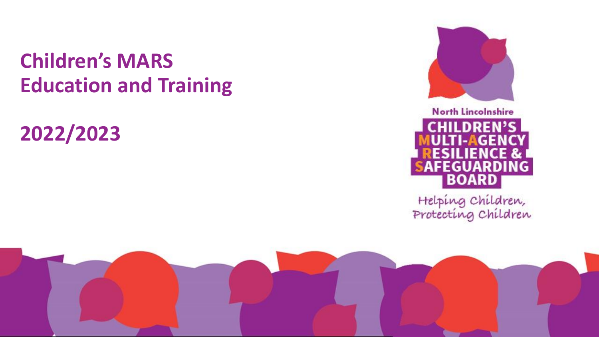# **Children's MARS Education and Training**

**2022/2023**



# **North Lincolnshire CHILDREN'S** LAGE ĸ, FEGUARDING **BOARD**

Helping Children,<br>Protecting Children

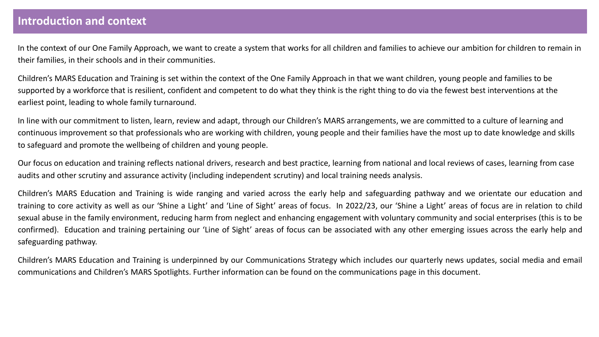#### **Introduction and context**

In the context of our One Family Approach, we want to create a system that works for all children and families to achieve our ambition for children to remain in their families, in their schools and in their communities.

Children's MARS Education and Training is set within the context of the One Family Approach in that we want children, young people and families to be supported by a workforce that is resilient, confident and competent to do what they think is the right thing to do via the fewest best interventions at the earliest point, leading to whole family turnaround.

In line with our commitment to listen, learn, review and adapt, through our Children's MARS arrangements, we are committed to a culture of learning and continuous improvement so that professionals who are working with children, young people and their families have the most up to date knowledge and skills to safeguard and promote the wellbeing of children and young people.

Our focus on education and training reflects national drivers, research and best practice, learning from national and local reviews of cases, learning from case audits and other scrutiny and assurance activity (including independent scrutiny) and local training needs analysis.

Children's MARS Education and Training is wide ranging and varied across the early help and safeguarding pathway and we orientate our education and training to core activity as well as our 'Shine a Light' and 'Line of Sight' areas of focus. In 2022/23, our 'Shine a Light' areas of focus are in relation to child sexual abuse in the family environment, reducing harm from neglect and enhancing engagement with voluntary community and social enterprises (this is to be confirmed). Education and training pertaining our 'Line of Sight' areas of focus can be associated with any other emerging issues across the early help and safeguarding pathway.

Children's MARS Education and Training is underpinned by our Communications Strategy which includes our quarterly news updates, social media and email communications and Children's MARS Spotlights. Further information can be found on the communications page in this document.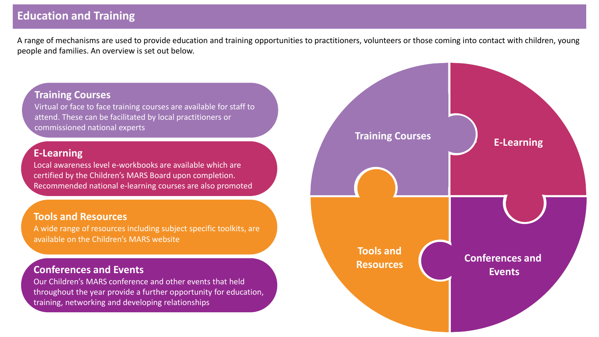### **Education and Training**

A range of mechanisms are used to provide education and training opportunities to practitioners, volunteers or those coming into contact with children, young people and families. An overview is set out below.

#### **Training Courses**

Virtual or face to face training courses are available for staff to attend. These can be facilitated by local practitioners or commissioned national experts

#### **E-Learning**

Local awareness level e-workbooks are available which are certified by the Children's MARS Board upon completion. Recommended national e-learning courses are also promoted

#### **Tools and Resources**

A wide range of resources including subject specific toolkits, are available on the Children's MARS website

#### **Conferences and Events**

Our Children's MARS conference and other events that held throughout the year provide a further opportunity for education, training, networking and developing relationships

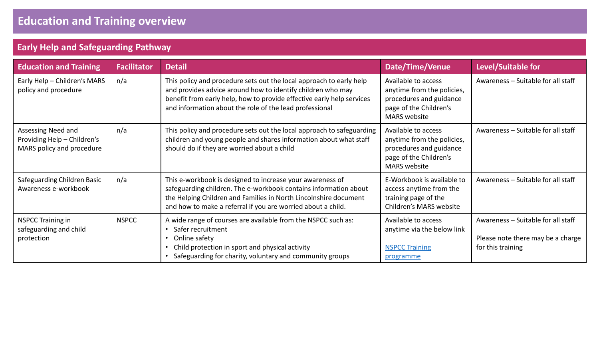#### **Early Help and Safeguarding Pathway**

| <b>Education and Training</b>                                                  | <b>Facilitator</b> | <b>Detail</b>                                                                                                                                                                                                                                                          | <b>Date/Time/Venue</b>                                                                                                        | Level/Suitable for                                                                           |
|--------------------------------------------------------------------------------|--------------------|------------------------------------------------------------------------------------------------------------------------------------------------------------------------------------------------------------------------------------------------------------------------|-------------------------------------------------------------------------------------------------------------------------------|----------------------------------------------------------------------------------------------|
| Early Help - Children's MARS<br>policy and procedure                           | n/a                | This policy and procedure sets out the local approach to early help<br>and provides advice around how to identify children who may<br>benefit from early help, how to provide effective early help services<br>and information about the role of the lead professional | Available to access<br>anytime from the policies,<br>procedures and guidance<br>page of the Children's<br><b>MARS</b> website | Awareness - Suitable for all staff                                                           |
| Assessing Need and<br>Providing Help - Children's<br>MARS policy and procedure | n/a                | This policy and procedure sets out the local approach to safeguarding<br>children and young people and shares information about what staff<br>should do if they are worried about a child                                                                              | Available to access<br>anytime from the policies,<br>procedures and guidance<br>page of the Children's<br><b>MARS</b> website | Awareness - Suitable for all staff                                                           |
| Safeguarding Children Basic<br>Awareness e-workbook                            | n/a                | This e-workbook is designed to increase your awareness of<br>safeguarding children. The e-workbook contains information about<br>the Helping Children and Families in North Lincolnshire document<br>and how to make a referral if you are worried about a child.      | E-Workbook is available to<br>access anytime from the<br>training page of the<br>Children's MARS website                      | Awareness - Suitable for all staff                                                           |
| <b>NSPCC Training in</b><br>safeguarding and child<br>protection               | <b>NSPCC</b>       | A wide range of courses are available from the NSPCC such as:<br>Safer recruitment<br>Online safety<br>Child protection in sport and physical activity<br>Safeguarding for charity, voluntary and community groups                                                     | Available to access<br>anytime via the below link<br><b>NSPCC Training</b><br>programme                                       | Awareness - Suitable for all staff<br>Please note there may be a charge<br>for this training |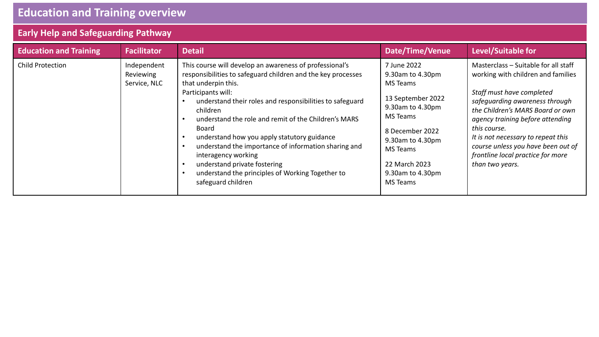# **Education and Training overview**

# **Early Help and Safeguarding Pathway**

| <b>Education and Training</b> | <b>Facilitator</b>                       | <b>Detail</b>                                                                                                                                                                                                                                                                                                                                                                                                                                                                                                                                         | <b>Date/Time/Venue</b>                                                                                                                                                                                             | Level/Suitable for                                                                                                                                                                                                                                                                                                                                                    |
|-------------------------------|------------------------------------------|-------------------------------------------------------------------------------------------------------------------------------------------------------------------------------------------------------------------------------------------------------------------------------------------------------------------------------------------------------------------------------------------------------------------------------------------------------------------------------------------------------------------------------------------------------|--------------------------------------------------------------------------------------------------------------------------------------------------------------------------------------------------------------------|-----------------------------------------------------------------------------------------------------------------------------------------------------------------------------------------------------------------------------------------------------------------------------------------------------------------------------------------------------------------------|
| <b>Child Protection</b>       | Independent<br>Reviewing<br>Service, NLC | This course will develop an awareness of professional's<br>responsibilities to safeguard children and the key processes<br>that underpin this.<br>Participants will:<br>understand their roles and responsibilities to safeguard<br>children<br>understand the role and remit of the Children's MARS<br>Board<br>understand how you apply statutory guidance<br>understand the importance of information sharing and<br>interagency working<br>understand private fostering<br>understand the principles of Working Together to<br>safeguard children | 7 June 2022<br>9.30am to 4.30pm<br><b>MS Teams</b><br>13 September 2022<br>9.30am to 4.30pm<br>MS Teams<br>8 December 2022<br>9.30am to 4.30pm<br><b>MS</b> Teams<br>22 March 2023<br>9.30am to 4.30pm<br>MS Teams | Masterclass - Suitable for all staff<br>working with children and families<br>Staff must have completed<br>safequarding awareness through<br>the Children's MARS Board or own<br>agency training before attending<br>this course.<br>It is not necessary to repeat this<br>course unless you have been out of<br>frontline local practice for more<br>than two years. |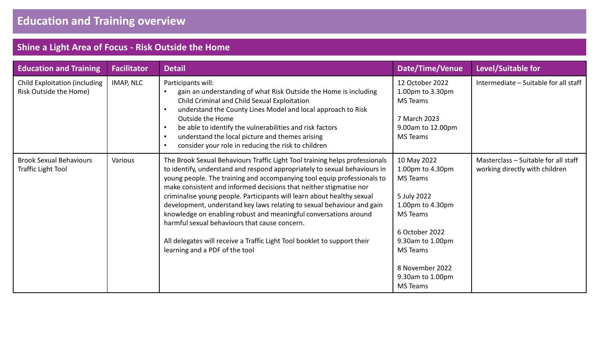| <b>Education and Training</b>                                  | <b>Facilitator</b> | <b>Detail</b>                                                                                                                                                                                                                                                                                                                                                                                                                                                                                                                                                                                                                                                                                    | <b>Date/Time/Venue</b>                                                                                                                                                                                               | Level/Suitable for                                                     |
|----------------------------------------------------------------|--------------------|--------------------------------------------------------------------------------------------------------------------------------------------------------------------------------------------------------------------------------------------------------------------------------------------------------------------------------------------------------------------------------------------------------------------------------------------------------------------------------------------------------------------------------------------------------------------------------------------------------------------------------------------------------------------------------------------------|----------------------------------------------------------------------------------------------------------------------------------------------------------------------------------------------------------------------|------------------------------------------------------------------------|
| <b>Child Exploitation (including</b><br>Risk Outside the Home) | IMAP, NLC          | Participants will:<br>gain an understanding of what Risk Outside the Home is including<br>Child Criminal and Child Sexual Exploitation<br>understand the County Lines Model and local approach to Risk<br>Outside the Home<br>be able to identify the vulnerabilities and risk factors<br>understand the local picture and themes arising<br>$\bullet$<br>consider your role in reducing the risk to children                                                                                                                                                                                                                                                                                    | 12 October 2022<br>1.00pm to 3.30pm<br>MS Teams<br>7 March 2023<br>9.00am to 12.00pm<br><b>MS Teams</b>                                                                                                              | Intermediate - Suitable for all staff                                  |
| <b>Brook Sexual Behaviours</b><br><b>Traffic Light Tool</b>    | Various            | The Brook Sexual Behaviours Traffic Light Tool training helps professionals<br>to identify, understand and respond appropriately to sexual behaviours in<br>young people. The training and accompanying tool equip professionals to<br>make consistent and informed decisions that neither stigmatise nor<br>criminalise young people. Participants will learn about healthy sexual<br>development, understand key laws relating to sexual behaviour and gain<br>knowledge on enabling robust and meaningful conversations around<br>harmful sexual behaviours that cause concern.<br>All delegates will receive a Traffic Light Tool booklet to support their<br>learning and a PDF of the tool | 10 May 2022<br>1.00pm to 4.30pm<br><b>MS</b> Teams<br>5 July 2022<br>1.00pm to 4.30pm<br>MS Teams<br>6 October 2022<br>9.30am to 1.00pm<br><b>MS</b> Teams<br>8 November 2022<br>9.30am to 1.00pm<br><b>MS</b> Teams | Masterclass - Suitable for all staff<br>working directly with children |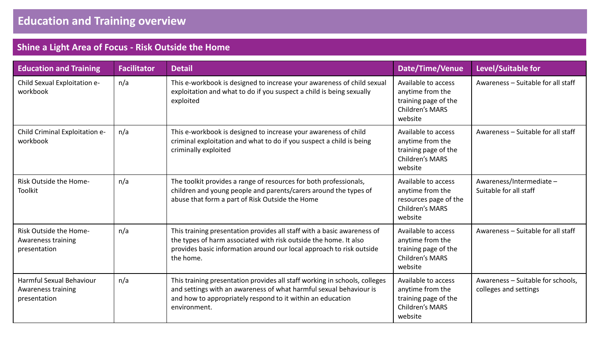| <b>Education and Training</b>                                                           | <b>Facilitator</b> | <b>Detail</b>                                                                                                                                                                                                                  | <b>Date/Time/Venue</b>                                                                                | Level/Suitable for                                         |
|-----------------------------------------------------------------------------------------|--------------------|--------------------------------------------------------------------------------------------------------------------------------------------------------------------------------------------------------------------------------|-------------------------------------------------------------------------------------------------------|------------------------------------------------------------|
| Child Sexual Exploitation e-<br>workbook                                                | n/a                | This e-workbook is designed to increase your awareness of child sexual<br>exploitation and what to do if you suspect a child is being sexually<br>exploited                                                                    | Available to access<br>anytime from the<br>training page of the<br><b>Children's MARS</b><br>website  | Awareness - Suitable for all staff                         |
| Child Criminal Exploitation e-<br>n/a<br>workbook                                       |                    | This e-workbook is designed to increase your awareness of child<br>criminal exploitation and what to do if you suspect a child is being<br>criminally exploited                                                                | Available to access<br>anytime from the<br>training page of the<br>Children's MARS<br>website         | Awareness - Suitable for all staff                         |
| Risk Outside the Home-<br><b>Toolkit</b>                                                | n/a                | The toolkit provides a range of resources for both professionals,<br>children and young people and parents/carers around the types of<br>abuse that form a part of Risk Outside the Home                                       | Available to access<br>anytime from the<br>resources page of the<br><b>Children's MARS</b><br>website | Awareness/Intermediate-<br>Suitable for all staff          |
| Risk Outside the Home-<br>n/a<br><b>Awareness training</b><br>presentation<br>the home. |                    | This training presentation provides all staff with a basic awareness of<br>the types of harm associated with risk outside the home. It also<br>provides basic information around our local approach to risk outside            | Available to access<br>anytime from the<br>training page of the<br><b>Children's MARS</b><br>website  | Awareness - Suitable for all staff                         |
| <b>Harmful Sexual Behaviour</b><br>Awareness training<br>presentation                   | n/a                | This training presentation provides all staff working in schools, colleges<br>and settings with an awareness of what harmful sexual behaviour is<br>and how to appropriately respond to it within an education<br>environment. | Available to access<br>anytime from the<br>training page of the<br><b>Children's MARS</b><br>website  | Awareness - Suitable for schools,<br>colleges and settings |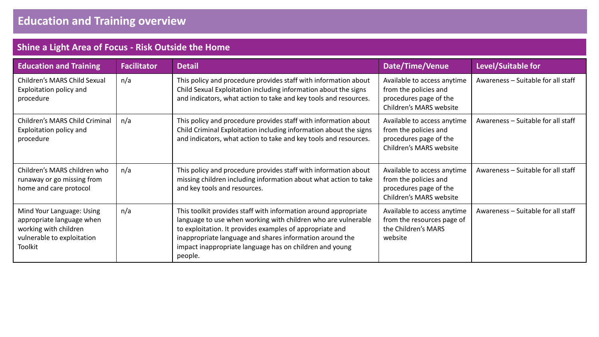| <b>Education and Training</b>                                                                                            | <b>Facilitator</b> | <b>Detail</b>                                                                                                                                                                                                                                                                                                                  | Date/Time/Venue                                                                                           | Level/Suitable for                 |
|--------------------------------------------------------------------------------------------------------------------------|--------------------|--------------------------------------------------------------------------------------------------------------------------------------------------------------------------------------------------------------------------------------------------------------------------------------------------------------------------------|-----------------------------------------------------------------------------------------------------------|------------------------------------|
| Children's MARS Child Sexual<br>Exploitation policy and<br>procedure                                                     | n/a                | This policy and procedure provides staff with information about<br>Child Sexual Exploitation including information about the signs<br>and indicators, what action to take and key tools and resources.                                                                                                                         | Available to access anytime<br>from the policies and<br>procedures page of the<br>Children's MARS website | Awareness - Suitable for all staff |
| Children's MARS Child Criminal<br>Exploitation policy and<br>procedure                                                   | n/a                | This policy and procedure provides staff with information about<br>Child Criminal Exploitation including information about the signs<br>and indicators, what action to take and key tools and resources.                                                                                                                       | Available to access anytime<br>from the policies and<br>procedures page of the<br>Children's MARS website | Awareness - Suitable for all staff |
| Children's MARS children who<br>runaway or go missing from<br>home and care protocol                                     | n/a                | This policy and procedure provides staff with information about<br>missing children including information about what action to take<br>and key tools and resources.                                                                                                                                                            | Available to access anytime<br>from the policies and<br>procedures page of the<br>Children's MARS website | Awareness - Suitable for all staff |
| Mind Your Language: Using<br>appropriate language when<br>working with children<br>vulnerable to exploitation<br>Toolkit | n/a                | This toolkit provides staff with information around appropriate<br>language to use when working with children who are vulnerable<br>to exploitation. It provides examples of appropriate and<br>inappropriate language and shares information around the<br>impact inappropriate language has on children and young<br>people. | Available to access anytime<br>from the resources page of<br>the Children's MARS<br>website               | Awareness - Suitable for all staff |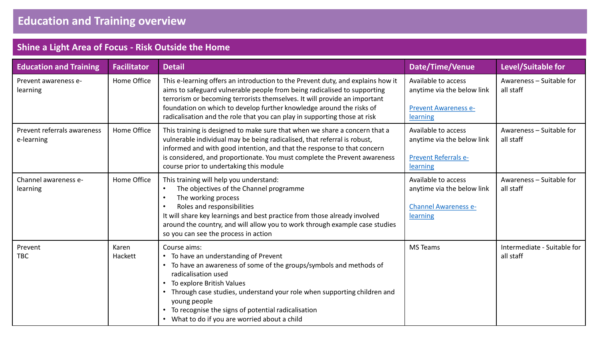| <b>Education and Training</b>             | <b>Facilitator</b> | <b>Detail</b>                                                                                                                                                                                                                                                                                                                                                                                 | Date/Time/Venue                                                                              | Level/Suitable for                       |
|-------------------------------------------|--------------------|-----------------------------------------------------------------------------------------------------------------------------------------------------------------------------------------------------------------------------------------------------------------------------------------------------------------------------------------------------------------------------------------------|----------------------------------------------------------------------------------------------|------------------------------------------|
| Prevent awareness e-<br>learning          | Home Office        | This e-learning offers an introduction to the Prevent duty, and explains how it<br>aims to safeguard vulnerable people from being radicalised to supporting<br>terrorism or becoming terrorists themselves. It will provide an important<br>foundation on which to develop further knowledge around the risks of<br>radicalisation and the role that you can play in supporting those at risk | Available to access<br>anytime via the below link<br><b>Prevent Awareness e-</b><br>learning | Awareness - Suitable for<br>all staff    |
| Prevent referrals awareness<br>e-learning | Home Office        | This training is designed to make sure that when we share a concern that a<br>vulnerable individual may be being radicalised, that referral is robust,<br>informed and with good intention, and that the response to that concern<br>is considered, and proportionate. You must complete the Prevent awareness<br>course prior to undertaking this module                                     | Available to access<br>anytime via the below link<br><b>Prevent Referrals e-</b><br>learning | Awareness - Suitable for<br>all staff    |
| Channel awareness e-<br>learning          | Home Office        | This training will help you understand:<br>The objectives of the Channel programme<br>$\bullet$<br>The working process<br>$\bullet$<br>Roles and responsibilities<br>$\bullet$<br>It will share key learnings and best practice from those already involved<br>around the country, and will allow you to work through example case studies<br>so you can see the process in action            | Available to access<br>anytime via the below link<br><b>Channel Awareness e-</b><br>learning | Awareness - Suitable for<br>all staff    |
| Prevent<br><b>TBC</b>                     | Karen<br>Hackett   | Course aims:<br>• To have an understanding of Prevent<br>• To have an awareness of some of the groups/symbols and methods of<br>radicalisation used<br>• To explore British Values<br>• Through case studies, understand your role when supporting children and<br>young people<br>• To recognise the signs of potential radicalisation<br>• What to do if you are worried about a child      | <b>MS Teams</b>                                                                              | Intermediate - Suitable for<br>all staff |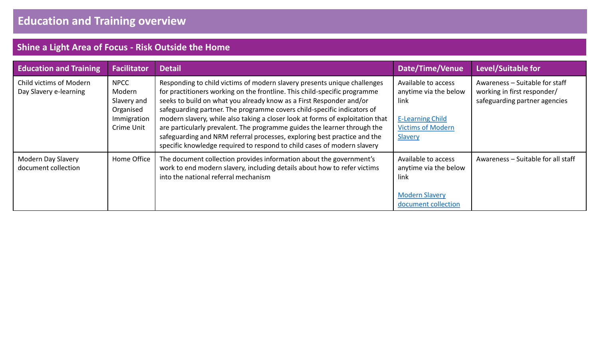| <b>Education and Training</b>                     | <b>Facilitator</b>                                                             | <b>Detail</b>                                                                                                                                                                                                                                                                                                                                                                                                                                                                                                                                                                                                               | Date/Time/Venue                                                                                                        | Level/Suitable for                                                                             |
|---------------------------------------------------|--------------------------------------------------------------------------------|-----------------------------------------------------------------------------------------------------------------------------------------------------------------------------------------------------------------------------------------------------------------------------------------------------------------------------------------------------------------------------------------------------------------------------------------------------------------------------------------------------------------------------------------------------------------------------------------------------------------------------|------------------------------------------------------------------------------------------------------------------------|------------------------------------------------------------------------------------------------|
| Child victims of Modern<br>Day Slavery e-learning | <b>NPCC</b><br>Modern<br>Slavery and<br>Organised<br>Immigration<br>Crime Unit | Responding to child victims of modern slavery presents unique challenges<br>for practitioners working on the frontline. This child-specific programme<br>seeks to build on what you already know as a First Responder and/or<br>safeguarding partner. The programme covers child-specific indicators of<br>modern slavery, while also taking a closer look at forms of exploitation that<br>are particularly prevalent. The programme guides the learner through the<br>safeguarding and NRM referral processes, exploring best practice and the<br>specific knowledge required to respond to child cases of modern slavery | Available to access<br>anytime via the below<br>link<br><b>E-Learning Child</b><br><b>Victims of Modern</b><br>Slavery | Awareness - Suitable for staff<br>working in first responder/<br>safeguarding partner agencies |
| Modern Day Slavery<br>document collection         | Home Office                                                                    | The document collection provides information about the government's<br>work to end modern slavery, including details about how to refer victims<br>into the national referral mechanism                                                                                                                                                                                                                                                                                                                                                                                                                                     | Available to access<br>anytime via the below<br>link<br><b>Modern Slavery</b><br>document collection                   | Awareness - Suitable for all staff                                                             |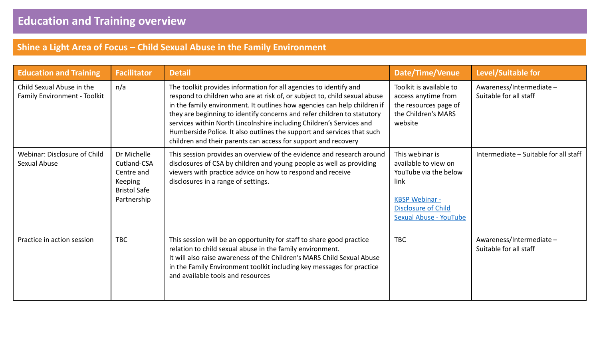#### **Shine a Light Area of Focus – Child Sexual Abuse in the Family Environment**

| <b>Education and Training</b>                             | <b>Facilitator</b>                                                                        | <b>Detail</b>                                                                                                                                                                                                                                                                                                                                                                                                                                                                                                             | Date/Time/Venue                                                                                                                                                  | <b>Level/Suitable for</b>                         |
|-----------------------------------------------------------|-------------------------------------------------------------------------------------------|---------------------------------------------------------------------------------------------------------------------------------------------------------------------------------------------------------------------------------------------------------------------------------------------------------------------------------------------------------------------------------------------------------------------------------------------------------------------------------------------------------------------------|------------------------------------------------------------------------------------------------------------------------------------------------------------------|---------------------------------------------------|
| Child Sexual Abuse in the<br>Family Environment - Toolkit | n/a                                                                                       | The toolkit provides information for all agencies to identify and<br>respond to children who are at risk of, or subject to, child sexual abuse<br>in the family environment. It outlines how agencies can help children if<br>they are beginning to identify concerns and refer children to statutory<br>services within North Lincolnshire including Children's Services and<br>Humberside Police. It also outlines the support and services that such<br>children and their parents can access for support and recovery | Toolkit is available to<br>access anytime from<br>the resources page of<br>the Children's MARS<br>website                                                        | Awareness/Intermediate-<br>Suitable for all staff |
| Webinar: Disclosure of Child<br>Sexual Abuse              | Dr Michelle<br>Cutland-CSA<br>Centre and<br>Keeping<br><b>Bristol Safe</b><br>Partnership | This session provides an overview of the evidence and research around<br>disclosures of CSA by children and young people as well as providing<br>viewers with practice advice on how to respond and receive<br>disclosures in a range of settings.                                                                                                                                                                                                                                                                        | This webinar is<br>available to view on<br>YouTube via the below<br>link<br><b>KBSP Webinar -</b><br><b>Disclosure of Child</b><br><b>Sexual Abuse - YouTube</b> | Intermediate - Suitable for all staff             |
| Practice in action session                                | <b>TBC</b>                                                                                | This session will be an opportunity for staff to share good practice<br>relation to child sexual abuse in the family environment.<br>It will also raise awareness of the Children's MARS Child Sexual Abuse<br>in the Family Environment toolkit including key messages for practice<br>and available tools and resources                                                                                                                                                                                                 | <b>TBC</b>                                                                                                                                                       | Awareness/Intermediate-<br>Suitable for all staff |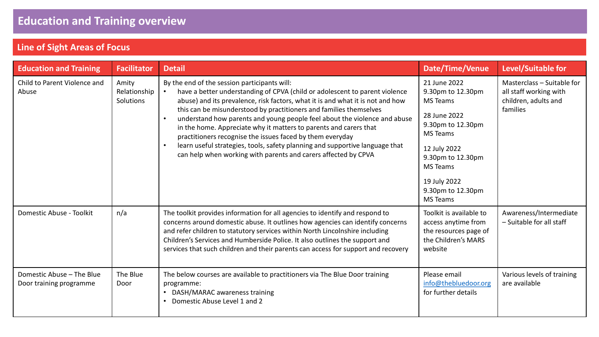# **Line of Sight Areas of Focus**

| <b>Education and Training</b>                        | <b>Facilitator</b>                 | <b>Detail</b>                                                                                                                                                                                                                                                                                                                                                                                                                                                                                                                                                                                                                                        | Date/Time/Venue                                                                                                                                                                                                       | Level/Suitable for                                                                       |
|------------------------------------------------------|------------------------------------|------------------------------------------------------------------------------------------------------------------------------------------------------------------------------------------------------------------------------------------------------------------------------------------------------------------------------------------------------------------------------------------------------------------------------------------------------------------------------------------------------------------------------------------------------------------------------------------------------------------------------------------------------|-----------------------------------------------------------------------------------------------------------------------------------------------------------------------------------------------------------------------|------------------------------------------------------------------------------------------|
| Child to Parent Violence and<br>Abuse                | Amity<br>Relationship<br>Solutions | By the end of the session participants will:<br>have a better understanding of CPVA (child or adolescent to parent violence<br>abuse) and its prevalence, risk factors, what it is and what it is not and how<br>this can be misunderstood by practitioners and families themselves<br>understand how parents and young people feel about the violence and abuse<br>in the home. Appreciate why it matters to parents and carers that<br>practitioners recognise the issues faced by them everyday<br>learn useful strategies, tools, safety planning and supportive language that<br>can help when working with parents and carers affected by CPVA | 21 June 2022<br>9.30pm to 12.30pm<br><b>MS Teams</b><br>28 June 2022<br>9.30pm to 12.30pm<br>MS Teams<br>12 July 2022<br>9.30pm to 12.30pm<br><b>MS</b> Teams<br>19 July 2022<br>9.30pm to 12.30pm<br><b>MS</b> Teams | Masterclass - Suitable for<br>all staff working with<br>children, adults and<br>families |
| Domestic Abuse - Toolkit                             | n/a                                | The toolkit provides information for all agencies to identify and respond to<br>concerns around domestic abuse. It outlines how agencies can identify concerns<br>and refer children to statutory services within North Lincolnshire including<br>Children's Services and Humberside Police. It also outlines the support and<br>services that such children and their parents can access for support and recovery                                                                                                                                                                                                                                   | Toolkit is available to<br>access anytime from<br>the resources page of<br>the Children's MARS<br>website                                                                                                             | Awareness/Intermediate<br>- Suitable for all staff                                       |
| Domestic Abuse - The Blue<br>Door training programme | The Blue<br>Door                   | The below courses are available to practitioners via The Blue Door training<br>programme:<br>• DASH/MARAC awareness training<br>Domestic Abuse Level 1 and 2                                                                                                                                                                                                                                                                                                                                                                                                                                                                                         | Please email<br>info@thebluedoor.org<br>for further details                                                                                                                                                           | Various levels of training<br>are available                                              |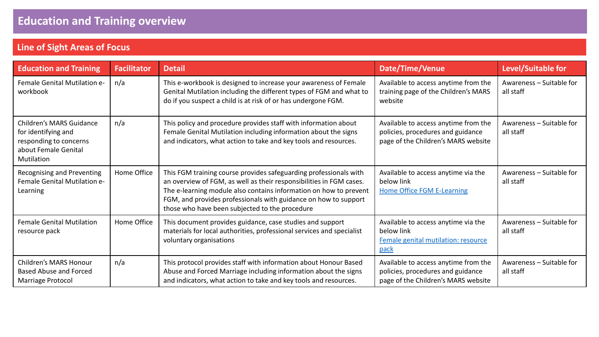# **Line of Sight Areas of Focus**

| <b>Education and Training</b>                                                                                          | <b>Facilitator</b> | <b>Detail</b>                                                                                                                                                                                                                                                                                                                      | Date/Time/Venue                                                                                                  | Level/Suitable for                    |
|------------------------------------------------------------------------------------------------------------------------|--------------------|------------------------------------------------------------------------------------------------------------------------------------------------------------------------------------------------------------------------------------------------------------------------------------------------------------------------------------|------------------------------------------------------------------------------------------------------------------|---------------------------------------|
| Female Genital Mutilation e-<br>workbook                                                                               | n/a                | This e-workbook is designed to increase your awareness of Female<br>Genital Mutilation including the different types of FGM and what to<br>do if you suspect a child is at risk of or has undergone FGM.                                                                                                                           | Available to access anytime from the<br>training page of the Children's MARS<br>website                          | Awareness - Suitable for<br>all staff |
| <b>Children's MARS Guidance</b><br>for identifying and<br>responding to concerns<br>about Female Genital<br>Mutilation | n/a                | This policy and procedure provides staff with information about<br>Female Genital Mutilation including information about the signs<br>and indicators, what action to take and key tools and resources.                                                                                                                             | Available to access anytime from the<br>policies, procedures and guidance<br>page of the Children's MARS website | Awareness - Suitable for<br>all staff |
| Recognising and Preventing<br>Female Genital Mutilation e-<br>Learning                                                 | Home Office        | This FGM training course provides safeguarding professionals with<br>an overview of FGM, as well as their responsibilities in FGM cases.<br>The e-learning module also contains information on how to prevent<br>FGM, and provides professionals with guidance on how to support<br>those who have been subjected to the procedure | Available to access anytime via the<br>below link<br><b>Home Office FGM E-Learning</b>                           | Awareness - Suitable for<br>all staff |
| <b>Female Genital Mutilation</b><br>resource pack                                                                      | Home Office        | This document provides guidance, case studies and support<br>materials for local authorities, professional services and specialist<br>voluntary organisations                                                                                                                                                                      | Available to access anytime via the<br>below link<br>Female genital mutilation: resource<br>pack                 | Awareness - Suitable for<br>all staff |
| <b>Children's MARS Honour</b><br><b>Based Abuse and Forced</b><br>Marriage Protocol                                    | n/a                | This protocol provides staff with information about Honour Based<br>Abuse and Forced Marriage including information about the signs<br>and indicators, what action to take and key tools and resources.                                                                                                                            | Available to access anytime from the<br>policies, procedures and guidance<br>page of the Children's MARS website | Awareness - Suitable for<br>all staff |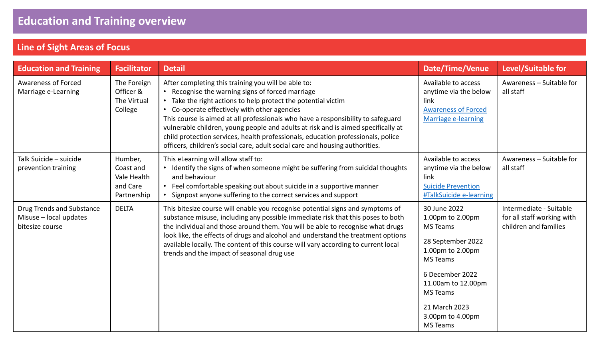# **Line of Sight Areas of Focus**

| <b>Education and Training</b>                                          | <b>Facilitator</b>                                             | <b>Detail</b>                                                                                                                                                                                                                                                                                                                                                                                                                                                                                                                                                       | <b>Date/Time/Venue</b>                                                                                                                                                                                                              | Level/Suitable for                                                             |
|------------------------------------------------------------------------|----------------------------------------------------------------|---------------------------------------------------------------------------------------------------------------------------------------------------------------------------------------------------------------------------------------------------------------------------------------------------------------------------------------------------------------------------------------------------------------------------------------------------------------------------------------------------------------------------------------------------------------------|-------------------------------------------------------------------------------------------------------------------------------------------------------------------------------------------------------------------------------------|--------------------------------------------------------------------------------|
| <b>Awareness of Forced</b><br>Marriage e-Learning                      | The Foreign<br>Officer &<br>The Virtual<br>College             | After completing this training you will be able to:<br>• Recognise the warning signs of forced marriage<br>Take the right actions to help protect the potential victim<br>• Co-operate effectively with other agencies<br>This course is aimed at all professionals who have a responsibility to safeguard<br>vulnerable children, young people and adults at risk and is aimed specifically at<br>child protection services, health professionals, education professionals, police<br>officers, children's social care, adult social care and housing authorities. | Available to access<br>anytime via the below<br>link<br><b>Awareness of Forced</b><br><b>Marriage e-learning</b>                                                                                                                    | Awareness - Suitable for<br>all staff                                          |
| Talk Suicide - suicide<br>prevention training                          | Humber,<br>Coast and<br>Vale Health<br>and Care<br>Partnership | This eLearning will allow staff to:<br>Identify the signs of when someone might be suffering from suicidal thoughts<br>and behaviour<br>• Feel comfortable speaking out about suicide in a supportive manner<br>Signpost anyone suffering to the correct services and support                                                                                                                                                                                                                                                                                       | Available to access<br>anytime via the below<br>link<br><b>Suicide Prevention</b><br>#TalkSuicide e-learning                                                                                                                        | Awareness - Suitable for<br>all staff                                          |
| Drug Trends and Substance<br>Misuse - local updates<br>bitesize course | <b>DELTA</b>                                                   | This bitesize course will enable you recognise potential signs and symptoms of<br>substance misuse, including any possible immediate risk that this poses to both<br>the individual and those around them. You will be able to recognise what drugs<br>look like, the effects of drugs and alcohol and understand the treatment options<br>available locally. The content of this course will vary according to current local<br>trends and the impact of seasonal drug use                                                                                         | 30 June 2022<br>1.00pm to 2.00pm<br><b>MS Teams</b><br>28 September 2022<br>1.00pm to 2.00pm<br><b>MS</b> Teams<br>6 December 2022<br>11.00am to 12.00pm<br><b>MS Teams</b><br>21 March 2023<br>3.00pm to 4.00pm<br><b>MS Teams</b> | Intermediate - Suitable<br>for all staff working with<br>children and families |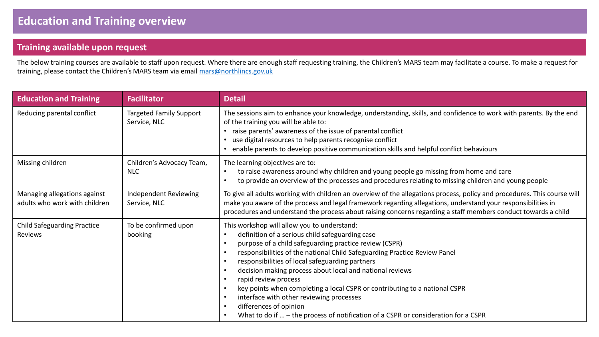#### **Training available upon request**

The below training courses are available to staff upon request. Where there are enough staff requesting training, the Children's MARS team may facilitate a course. To make a request for training, please contact the Children's MARS team via email [mars@northlincs.gov.uk](mailto:mars@northlincs.gov.uk)

| <b>Education and Training</b>                                 | <b>Facilitator</b>                             | <b>Detail</b>                                                                                                                                                                                                                                                                                                                                                                                                                                                                                                                                                                                                                  |
|---------------------------------------------------------------|------------------------------------------------|--------------------------------------------------------------------------------------------------------------------------------------------------------------------------------------------------------------------------------------------------------------------------------------------------------------------------------------------------------------------------------------------------------------------------------------------------------------------------------------------------------------------------------------------------------------------------------------------------------------------------------|
| Reducing parental conflict                                    | <b>Targeted Family Support</b><br>Service, NLC | The sessions aim to enhance your knowledge, understanding, skills, and confidence to work with parents. By the end<br>of the training you will be able to:<br>raise parents' awareness of the issue of parental conflict<br>use digital resources to help parents recognise conflict<br>enable parents to develop positive communication skills and helpful conflict behaviours                                                                                                                                                                                                                                                |
| Missing children                                              | Children's Advocacy Team,<br><b>NLC</b>        | The learning objectives are to:<br>to raise awareness around why children and young people go missing from home and care<br>to provide an overview of the processes and procedures relating to missing children and young people                                                                                                                                                                                                                                                                                                                                                                                               |
| Managing allegations against<br>adults who work with children | Independent Reviewing<br>Service, NLC          | To give all adults working with children an overview of the allegations process, policy and procedures. This course will<br>make you aware of the process and legal framework regarding allegations, understand your responsibilities in<br>procedures and understand the process about raising concerns regarding a staff members conduct towards a child                                                                                                                                                                                                                                                                     |
| <b>Child Safeguarding Practice</b><br>Reviews                 | To be confirmed upon<br>booking                | This workshop will allow you to understand:<br>definition of a serious child safeguarding case<br>purpose of a child safeguarding practice review (CSPR)<br>responsibilities of the national Child Safeguarding Practice Review Panel<br>responsibilities of local safeguarding partners<br>decision making process about local and national reviews<br>rapid review process<br>key points when completing a local CSPR or contributing to a national CSPR<br>interface with other reviewing processes<br>differences of opinion<br>What to do if $\ldots$ – the process of notification of a CSPR or consideration for a CSPR |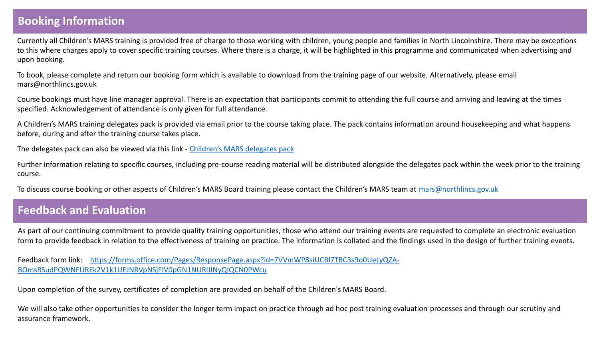#### **Booking Information**

Currently all Children's MARS training is provided free of charge to those working with children, young people and families in North Lincolnshire. There may be exceptions to this where charges apply to cover specific training courses. Where there is a charge, it will be highlighted in this programme and communicated when advertising and upon booking.

To book, please complete and return our booking form which is available to download from the training page of our website. Alternatively, please email mars@northlincs.gov.uk

Course bookings must have line manager approval. There is an expectation that participants commit to attending the full course and arriving and leaving at the times specified. Acknowledgement of attendance is only given for full attendance.

A Children's MARS training delegates pack is provided via email prior to the course taking place. The pack contains information around housekeeping and what happens before, during and after the training course takes place.

The delegates pack can also be viewed via this link - [Children's MARS delegates pack](https://sway.office.com/agwQSLvix9oIb6BE?ref=Link)

Further information relating to specific courses, including pre-course reading material will be distributed alongside the delegates pack within the week prior to the training course.

To discuss course booking or other aspects of Children's MARS Board training please contact the Children's MARS team at [mars@northlincs.gov.uk](mailto:mars@northlincs.gov.uk)

#### **Feedback and Evaluation**

As part of our continuing commitment to provide quality training opportunities, those who attend our training events are requested to complete an electronic evaluation form to provide feedback in relation to the effectiveness of training on practice. The information is collated and the findings used in the design of further training events.

Feedback form link: [https://forms.office.com/Pages/ResponsePage.aspx?id=7VVmWP8siUCBl7TBC3s9o0UeLyQZA-](https://forms.office.com/Pages/ResponsePage.aspx?id=7VVmWP8siUCBl7TBC3s9o0UeLyQZA-BOmsRSudPQWNFUREk2V1k1UEJNRVpNSjFIV0pGN1NURlJINyQlQCN0PWcu)BOmsRSudPQWNFUREk2V1k1UEJNRVpNSjFIV0pGN1NURlJINyQlQCN0PWcu

Upon completion of the survey, certificates of completion are provided on behalf of the Children's MARS Board.

We will also take other opportunities to consider the longer term impact on practice through ad hoc post training evaluation processes and through our scrutiny and assurance framework.